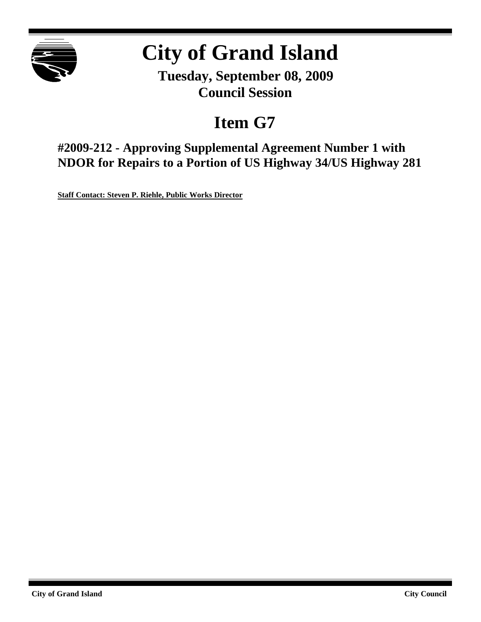

## **City of Grand Island**

**Tuesday, September 08, 2009 Council Session**

## **Item G7**

**#2009-212 - Approving Supplemental Agreement Number 1 with NDOR for Repairs to a Portion of US Highway 34/US Highway 281**

**Staff Contact: Steven P. Riehle, Public Works Director**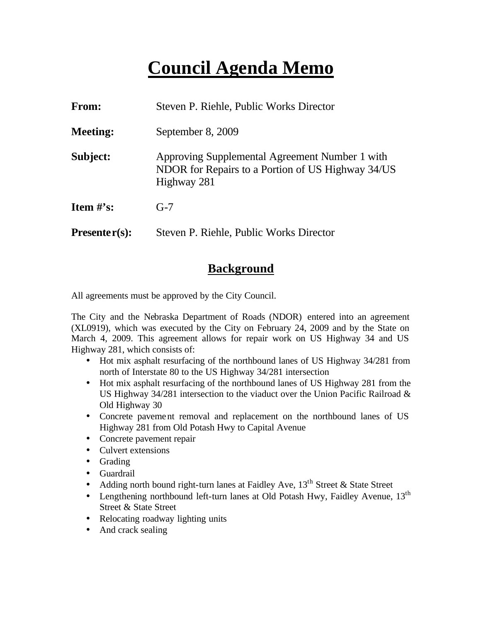### **Council Agenda Memo**

| <b>From:</b>    | Steven P. Riehle, Public Works Director                                                                            |
|-----------------|--------------------------------------------------------------------------------------------------------------------|
| <b>Meeting:</b> | September 8, 2009                                                                                                  |
| Subject:        | Approving Supplemental Agreement Number 1 with<br>NDOR for Repairs to a Portion of US Highway 34/US<br>Highway 281 |
| Item $#$ 's:    | $G-7$                                                                                                              |
| $Presenter(s):$ | Steven P. Riehle, Public Works Director                                                                            |

#### **Background**

All agreements must be approved by the City Council.

The City and the Nebraska Department of Roads (NDOR) entered into an agreement (XL0919), which was executed by the City on February 24, 2009 and by the State on March 4, 2009. This agreement allows for repair work on US Highway 34 and US Highway 281, which consists of:

- Hot mix asphalt resurfacing of the northbound lanes of US Highway 34/281 from north of Interstate 80 to the US Highway 34/281 intersection
- Hot mix asphalt resurfacing of the northbound lanes of US Highway 281 from the US Highway 34/281 intersection to the viaduct over the Union Pacific Railroad & Old Highway 30
- Concrete pavement removal and replacement on the northbound lanes of US Highway 281 from Old Potash Hwy to Capital Avenue
- Concrete pavement repair
- Culvert extensions
- Grading
- Guardrail
- Adding north bound right-turn lanes at Faidley Ave,  $13<sup>th</sup>$  Street & State Street
- Lengthening northbound left-turn lanes at Old Potash Hwy, Faidley Avenue, 13<sup>th</sup> Street & State Street
- Relocating roadway lighting units
- And crack sealing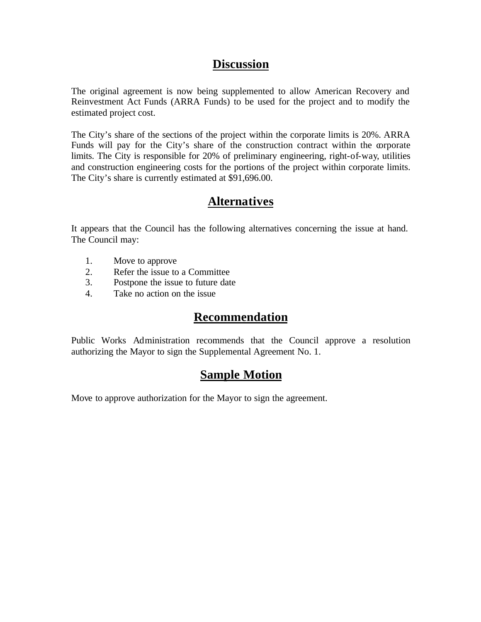#### **Discussion**

The original agreement is now being supplemented to allow American Recovery and Reinvestment Act Funds (ARRA Funds) to be used for the project and to modify the estimated project cost.

The City's share of the sections of the project within the corporate limits is 20%. ARRA Funds will pay for the City's share of the construction contract within the corporate limits. The City is responsible for 20% of preliminary engineering, right-of-way, utilities and construction engineering costs for the portions of the project within corporate limits. The City's share is currently estimated at \$91,696.00.

#### **Alternatives**

It appears that the Council has the following alternatives concerning the issue at hand. The Council may:

- 1. Move to approve
- 2. Refer the issue to a Committee
- 3. Postpone the issue to future date
- 4. Take no action on the issue

#### **Recommendation**

Public Works Administration recommends that the Council approve a resolution authorizing the Mayor to sign the Supplemental Agreement No. 1.

#### **Sample Motion**

Move to approve authorization for the Mayor to sign the agreement.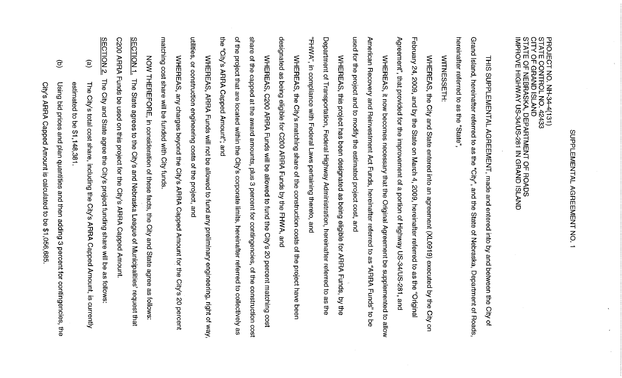# **SUPPLENENTAL AGENENTAL NO.**  $\overline{\phantom{0}}$

PROJECT NO. NH-34-4(131)<br>STATE CONTROL NO. 42433<br>CITY OF GRAND ISLAND<br>STATE OF NEBRASKA, DEPARTMENT OF ROADS<br>IMPROVE HIGHWAY US-34/US-281 IN GRAND ISLAND

Pereinatter referred to as the "State Grand Island, hereinatter referred to as the "City", and the THIS SUPPLEMENTAL AGREEMENT, made and entered into by and between the State of Nebraska, Department of Roads, City of

WITNESSETH:

February 24, Agreement", that provided for the improvement of a portion of Highway US-34/US-281, and WHEREAS, the City and State entered into an agreement (XL0919) executed by the City 2009, and by the State on March 4, 2009, hereinafter referred to as the "Original  $\mathbf{S}$ 

used for the project and to modify the estimated project cost, and American Recovery and Reinvestment Act Funds, hereinafter referred to as "ARRA Funds" to WHEREAS, it now becomes necessary that the Original Agreement be supplemented to allow ន<br>ទ

Department of Transportation, Federal Highway Administration, hereinatter referred "FHWA", in compliance with Federal Laws pertaining thereto, and WHEREAS, this project has been designated as being eligible for ARRA Funds, by the  $\overline{\sigma}$ as the

designated as being eligible for C200 ARRA Funds by the FHWA, and WHEREAS, the City's matching share of the construction costs of the project have beer

the<br> of the project that are located within the City's corporate limits, hereinafter referred to collectively as share of the capped at the award amounts, plus 3 percent for contingencies, of the construction cost "City's ARRA Capped Amount"; and WHEREAS, C200 ARRA Funds will be allowed to fund the City's 20 percent matching cost

utilities, or construction engineering costs of the project, and WHEREAS, ARRA Funds will not be allowed to fund any preliminary engineering, right of way

matching cost share will be funded with City funds WHEREAS, any charges beyond the City's ARRA Capped Amount for the City's 20 percent

**SECTION 1** C200 ARRA NOW THEREFORE, in consideration of these facts, the City and State Funds be used on this project for the City's ARRA Capped Amount. The State agrees to the City's and Nebraska League of Municipalities' request that earee 88 follows:

 $\widehat{e}$ estimated The City's total cost share, including the City's ARRA Capped Amount, is currently l to be  $31,148$  $381$ 

The City and State agree the City's project funding share will be as follows:

**SECTION 2.** 

 $\widehat{\sigma}$ Using bid prices and plan quantities and then adding 3 percent for contingencies, the

City's ARRA Capped Amount is calculated to be \$1,056,685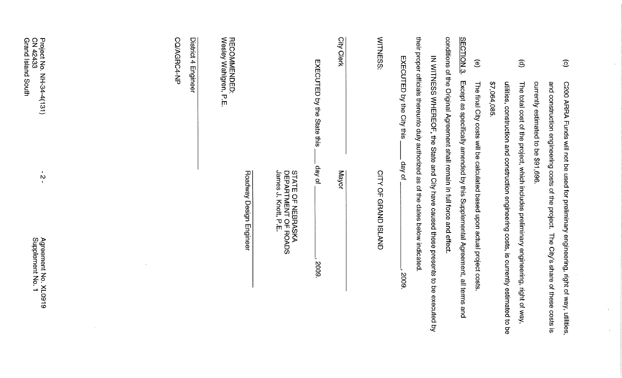| $\odot$                               | C200 ARRA Funds will not be used for preliminary engineering, right of way, utilities,        |  |
|---------------------------------------|-----------------------------------------------------------------------------------------------|--|
|                                       | and construction engineering costs of the project.<br>The City's share of these costs is      |  |
|                                       | contrently estimated to be \$91,000.                                                          |  |
| $\widehat{\mathbf{e}}$                | The total cost of the project, which includes preliminary engineering, right of way,          |  |
|                                       | utilities, construction and construction engineering costs, is currently estimate<br>ag of be |  |
|                                       | \$7,064,085                                                                                   |  |
| $\widehat{\mathbf{e}}$                | The final City costs will be calculated based upon actual project costs                       |  |
| <b>SECTION 3</b>                      | Except as specifically amended by this Supplemental Agreement, all terms and                  |  |
|                                       | conditions of the Original Agreement shall remain in full force and effect.                   |  |
|                                       | IN WITNESS WHERECF, the State and City have caused these presents to be executed by           |  |
|                                       | their proper officials thereunto duly authorized as of the dates below indicated              |  |
|                                       | EXECUTED by the City this<br>day of<br>2009.                                                  |  |
| <b>MITNESS:</b>                       | <b>CITY OF GRAND ISLAND</b>                                                                   |  |
| Qity<br>Clerk                         | Mayor                                                                                         |  |
|                                       | EXECUTED by the State this<br>day of<br>2009.                                                 |  |
|                                       | DEPARTMENT OF I<br>James J. Knott, P.E.<br>STATE OF NEBRASKA<br><b>ROADS</b>                  |  |
|                                       | Roadway Design Engineer                                                                       |  |
| RECOMMENDED:<br>Wesley Wahlgren, P.E. |                                                                                               |  |
| District 4                            | Engineer                                                                                      |  |
| CO/AGRC4-NP                           |                                                                                               |  |
|                                       |                                                                                               |  |
|                                       |                                                                                               |  |
|                                       |                                                                                               |  |
|                                       |                                                                                               |  |

 $\sim 10^{-1}$ 

 $\hat{\mathcal{L}}$ 

 $\frac{1}{4}$ 

 $\bar{x}$ 

Project No. NH-34-4(131)<br>CN 42433<br>Grand Island South

 $\frac{1}{2}$ 

Agreement No. XL0919<br>Supplement No. 1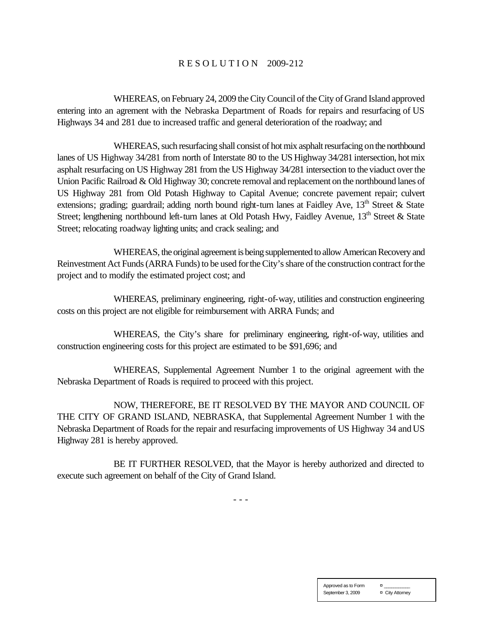#### R E S O L U T I O N 2009-212

WHEREAS, on February 24, 2009 the City Council of the City of Grand Island approved entering into an agrement with the Nebraska Department of Roads for repairs and resurfacing of US Highways 34 and 281 due to increased traffic and general deterioration of the roadway; and

WHEREAS, such resurfacing shall consist of hot mix asphalt resurfacing on the northbound lanes of US Highway 34/281 from north of Interstate 80 to the US Highway 34/281 intersection, hot mix asphalt resurfacing on US Highway 281 from the US Highway 34/281 intersection to the viaduct over the Union Pacific Railroad & Old Highway 30; concrete removal and replacement on the northbound lanes of US Highway 281 from Old Potash Highway to Capital Avenue; concrete pavement repair; culvert extensions; grading; guardrail; adding north bound right-turn lanes at Faidley Ave,  $13<sup>th</sup>$  Street & State Street; lengthening northbound left-turn lanes at Old Potash Hwy, Faidley Avenue, 13<sup>th</sup> Street & State Street; relocating roadway lighting units; and crack sealing; and

WHEREAS, the original agreement is being supplemented to allow American Recovery and Reinvestment Act Funds (ARRA Funds) to be used for the City's share of the construction contract for the project and to modify the estimated project cost; and

WHEREAS, preliminary engineering, right-of-way, utilities and construction engineering costs on this project are not eligible for reimbursement with ARRA Funds; and

WHEREAS, the City's share for preliminary engineering, right-of-way, utilities and construction engineering costs for this project are estimated to be \$91,696; and

WHEREAS, Supplemental Agreement Number 1 to the original agreement with the Nebraska Department of Roads is required to proceed with this project.

NOW, THEREFORE, BE IT RESOLVED BY THE MAYOR AND COUNCIL OF THE CITY OF GRAND ISLAND, NEBRASKA, that Supplemental Agreement Number 1 with the Nebraska Department of Roads for the repair and resurfacing improvements of US Highway 34 and US Highway 281 is hereby approved.

BE IT FURTHER RESOLVED, that the Mayor is hereby authorized and directed to execute such agreement on behalf of the City of Grand Island.

- - -